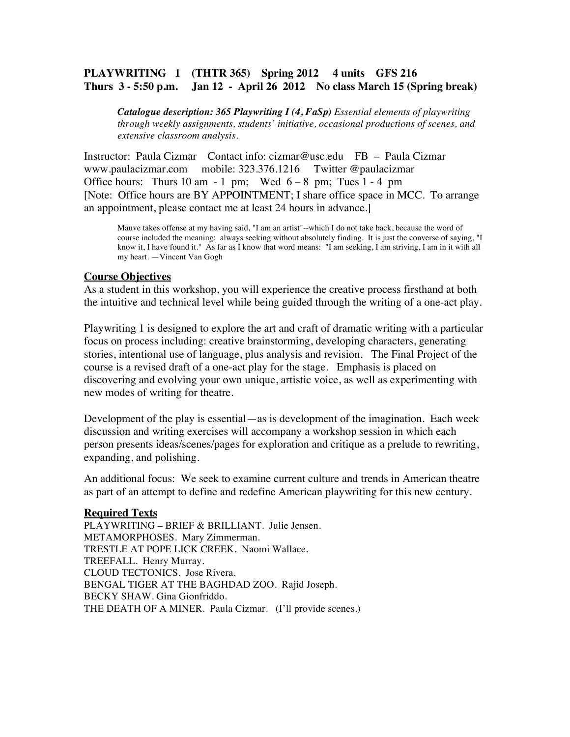# **PLAYWRITING 1 (THTR 365) Spring 2012 4 units GFS 216 Thurs 3 - 5:50 p.m. Jan 12 - April 26 2012 No class March 15 (Spring break)**

*Catalogue description: 365 Playwriting I (4, FaSp) Essential elements of playwriting through weekly assignments, students' initiative, occasional productions of scenes, and extensive classroom analysis.*

Instructor: Paula Cizmar Contact info: cizmar@usc.edu FB – Paula Cizmar www.paulacizmar.com mobile: 323.376.1216 Twitter @paulacizmar Office hours: Thurs 10 am - 1 pm; Wed  $6-8$  pm; Tues  $1-4$  pm [Note: Office hours are BY APPOINTMENT; I share office space in MCC. To arrange an appointment, please contact me at least 24 hours in advance.]

Mauve takes offense at my having said, "I am an artist"--which I do not take back, because the word of course included the meaning: always seeking without absolutely finding. It is just the converse of saying, "I know it, I have found it." As far as I know that word means: "I am seeking, I am striving, I am in it with all my heart. —Vincent Van Gogh

#### **Course Objectives**

As a student in this workshop, you will experience the creative process firsthand at both the intuitive and technical level while being guided through the writing of a one-act play.

Playwriting 1 is designed to explore the art and craft of dramatic writing with a particular focus on process including: creative brainstorming, developing characters, generating stories, intentional use of language, plus analysis and revision. The Final Project of the course is a revised draft of a one-act play for the stage. Emphasis is placed on discovering and evolving your own unique, artistic voice, as well as experimenting with new modes of writing for theatre.

Development of the play is essential—as is development of the imagination. Each week discussion and writing exercises will accompany a workshop session in which each person presents ideas/scenes/pages for exploration and critique as a prelude to rewriting, expanding, and polishing.

An additional focus: We seek to examine current culture and trends in American theatre as part of an attempt to define and redefine American playwriting for this new century.

#### **Required Texts**

PLAYWRITING – BRIEF & BRILLIANT. Julie Jensen. METAMORPHOSES. Mary Zimmerman. TRESTLE AT POPE LICK CREEK. Naomi Wallace. TREEFALL. Henry Murray. CLOUD TECTONICS. Jose Rivera. BENGAL TIGER AT THE BAGHDAD ZOO. Rajid Joseph. BECKY SHAW. Gina Gionfriddo. THE DEATH OF A MINER. Paula Cizmar. (I'll provide scenes.)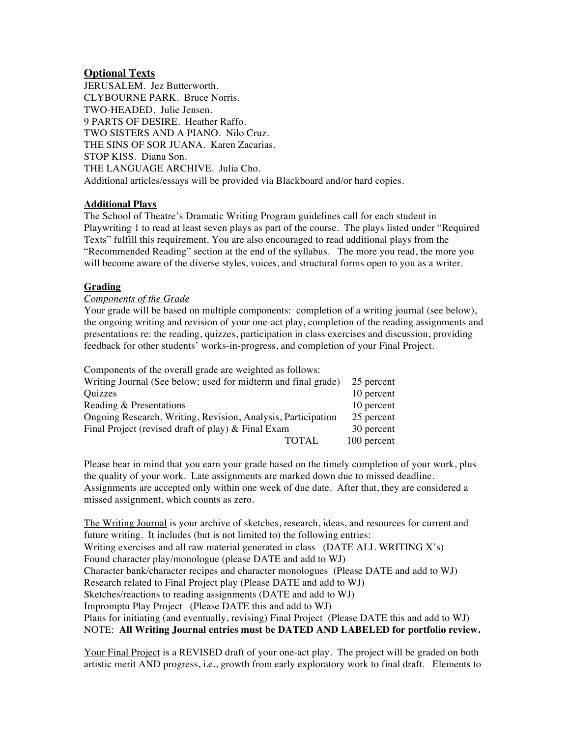### **Optional Texts**

JERUSALEM. Jez Butterworth. CLYBOURNE PARK. Bruce Norris. TWO-HEADED. Julie Jensen. 9 PARTS OF DESIRE. Heather Raffo. TWO SISTERS AND A PIANO. Nilo Cruz. THE SINS OF SOR JUANA. Karen Zacarias. STOP KISS. Diana Son. THE LANGUAGE ARCHIVE. Julia Cho. Additional articles/essays will be provided via Blackboard and/or hard copies.

#### **Additional Plays**

The School of Theatre's Dramatic Writing Program guidelines call for each student in Playwriting 1 to read at least seven plays as part of the course. The plays listed under "Required Texts" fulfill this requirement. You are also encouraged to read additional plays from the "Recommended Reading" section at the end of the syllabus. The more you read, the more you will become aware of the diverse styles, voices, and structural forms open to you as a writer.

#### **Grading**

#### *Components of the Grade*

Your grade will be based on multiple components: completion of a writing journal (see below), the ongoing writing and revision of your one-act play, completion of the reading assignments and presentations re: the reading, quizzes, participation in class exercises and discussion, providing feedback for other students' works-in-progress, and completion of your Final Project.

| Components of the overall grade are weighted as follows:      |             |
|---------------------------------------------------------------|-------------|
| Writing Journal (See below; used for midterm and final grade) | 25 percent  |
| Quizzes                                                       | 10 percent  |
| Reading & Presentations                                       | 10 percent  |
| Ongoing Research, Writing, Revision, Analysis, Participation  | 25 percent  |
| Final Project (revised draft of play) & Final Exam            | 30 percent  |
| TOTAL.                                                        | 100 percent |

Please bear in mind that you earn your grade based on the timely completion of your work, plus the quality of your work. Late assignments are marked down due to missed deadline. Assignments are accepted only within one week of due date. After that, they are considered a missed assignment, which counts as zero.

The Writing Journal is your archive of sketches, research, ideas, and resources for current and future writing. It includes (but is not limited to) the following entries: Writing exercises and all raw material generated in class (DATE ALL WRITING X's) Found character play/monologue (please DATE and add to WJ) Character bank/character recipes and character monologues (Please DATE and add to WJ) Research related to Final Project play (Please DATE and add to WJ) Sketches/reactions to reading assignments (DATE and add to WJ) Impromptu Play Project (Please DATE this and add to WJ) Plans for initiating (and eventually, revising) Final Project (Please DATE this and add to WJ) NOTE: **All Writing Journal entries must be DATED AND LABELED for portfolio review.**

Your Final Project is a REVISED draft of your one-act play. The project will be graded on both artistic merit AND progress, i.e., growth from early exploratory work to final draft. Elements to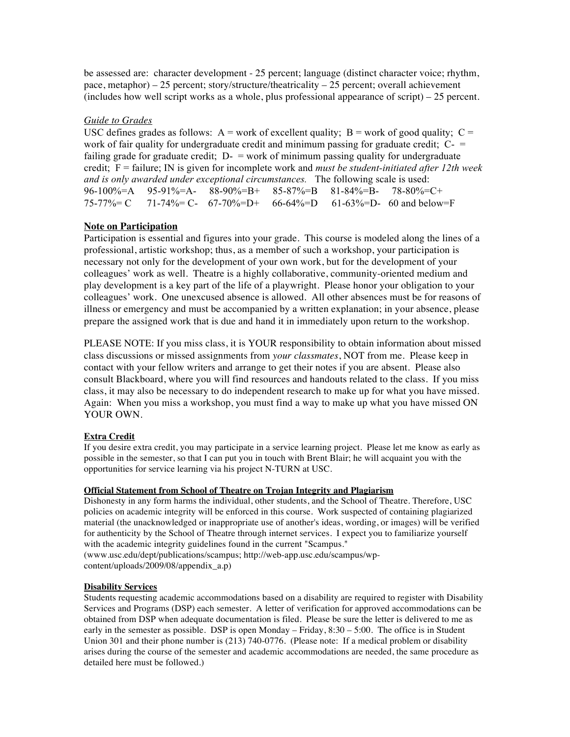be assessed are: character development - 25 percent; language (distinct character voice; rhythm, pace, metaphor) – 25 percent; story/structure/theatricality – 25 percent; overall achievement (includes how well script works as a whole, plus professional appearance of script) – 25 percent.

#### *Guide to Grades*

USC defines grades as follows:  $A = work$  of excellent quality;  $B = work$  of good quality;  $C =$ work of fair quality for undergraduate credit and minimum passing for graduate credit;  $C =$ failing grade for graduate credit;  $D<sub>-</sub> =$  work of minimum passing quality for undergraduate credit; F = failure; IN is given for incomplete work and *must be student-initiated after 12th week and is only awarded under exceptional circumstances.* The following scale is used: 96-100%=A 95-91%=A- 88-90%=B+ 85-87%=B 81-84%=B- 78-80%=C+  $75-77\%$  = C  $71-74\%$  = C-  $67-70\%$  = D+  $66-64\%$  = D  $61-63\%$  = D- 60 and below = F

#### **Note on Participation**

Participation is essential and figures into your grade. This course is modeled along the lines of a professional, artistic workshop; thus, as a member of such a workshop, your participation is necessary not only for the development of your own work, but for the development of your colleagues' work as well. Theatre is a highly collaborative, community-oriented medium and play development is a key part of the life of a playwright. Please honor your obligation to your colleagues' work. One unexcused absence is allowed. All other absences must be for reasons of illness or emergency and must be accompanied by a written explanation; in your absence, please prepare the assigned work that is due and hand it in immediately upon return to the workshop.

PLEASE NOTE: If you miss class, it is YOUR responsibility to obtain information about missed class discussions or missed assignments from *your classmates*, NOT from me. Please keep in contact with your fellow writers and arrange to get their notes if you are absent. Please also consult Blackboard, where you will find resources and handouts related to the class. If you miss class, it may also be necessary to do independent research to make up for what you have missed. Again: When you miss a workshop, you must find a way to make up what you have missed ON YOUR OWN.

#### **Extra Credit**

If you desire extra credit, you may participate in a service learning project. Please let me know as early as possible in the semester, so that I can put you in touch with Brent Blair; he will acquaint you with the opportunities for service learning via his project N-TURN at USC.

#### **Official Statement from School of Theatre on Trojan Integrity and Plagiarism**

Dishonesty in any form harms the individual, other students, and the School of Theatre. Therefore, USC policies on academic integrity will be enforced in this course. Work suspected of containing plagiarized material (the unacknowledged or inappropriate use of another's ideas, wording, or images) will be verified for authenticity by the School of Theatre through internet services. I expect you to familiarize yourself with the academic integrity guidelines found in the current "Scampus." (www.usc.edu/dept/publications/scampus; http://web-app.usc.edu/scampus/wp-

content/uploads/2009/08/appendix\_a.p)

#### **Disability Services**

Students requesting academic accommodations based on a disability are required to register with Disability Services and Programs (DSP) each semester. A letter of verification for approved accommodations can be obtained from DSP when adequate documentation is filed. Please be sure the letter is delivered to me as early in the semester as possible. DSP is open Monday – Friday, 8:30 – 5:00. The office is in Student Union 301 and their phone number is (213) 740-0776. (Please note: If a medical problem or disability arises during the course of the semester and academic accommodations are needed, the same procedure as detailed here must be followed.)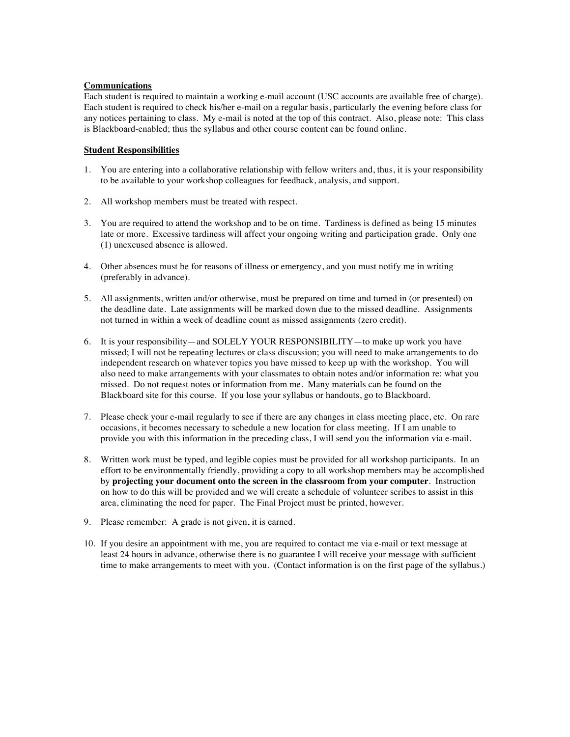#### **Communications**

Each student is required to maintain a working e-mail account (USC accounts are available free of charge). Each student is required to check his/her e-mail on a regular basis, particularly the evening before class for any notices pertaining to class. My e-mail is noted at the top of this contract. Also, please note: This class is Blackboard-enabled; thus the syllabus and other course content can be found online.

#### **Student Responsibilities**

- 1. You are entering into a collaborative relationship with fellow writers and, thus, it is your responsibility to be available to your workshop colleagues for feedback, analysis, and support.
- 2. All workshop members must be treated with respect.
- 3. You are required to attend the workshop and to be on time. Tardiness is defined as being 15 minutes late or more. Excessive tardiness will affect your ongoing writing and participation grade. Only one (1) unexcused absence is allowed.
- 4. Other absences must be for reasons of illness or emergency, and you must notify me in writing (preferably in advance).
- 5. All assignments, written and/or otherwise, must be prepared on time and turned in (or presented) on the deadline date. Late assignments will be marked down due to the missed deadline. Assignments not turned in within a week of deadline count as missed assignments (zero credit).
- 6. It is your responsibility—and SOLELY YOUR RESPONSIBILITY—to make up work you have missed; I will not be repeating lectures or class discussion; you will need to make arrangements to do independent research on whatever topics you have missed to keep up with the workshop. You will also need to make arrangements with your classmates to obtain notes and/or information re: what you missed. Do not request notes or information from me. Many materials can be found on the Blackboard site for this course. If you lose your syllabus or handouts, go to Blackboard.
- 7. Please check your e-mail regularly to see if there are any changes in class meeting place, etc. On rare occasions, it becomes necessary to schedule a new location for class meeting. If I am unable to provide you with this information in the preceding class, I will send you the information via e-mail.
- 8. Written work must be typed, and legible copies must be provided for all workshop participants. In an effort to be environmentally friendly, providing a copy to all workshop members may be accomplished by **projecting your document onto the screen in the classroom from your computer**. Instruction on how to do this will be provided and we will create a schedule of volunteer scribes to assist in this area, eliminating the need for paper. The Final Project must be printed, however.
- 9. Please remember: A grade is not given, it is earned.
- 10. If you desire an appointment with me, you are required to contact me via e-mail or text message at least 24 hours in advance, otherwise there is no guarantee I will receive your message with sufficient time to make arrangements to meet with you. (Contact information is on the first page of the syllabus.)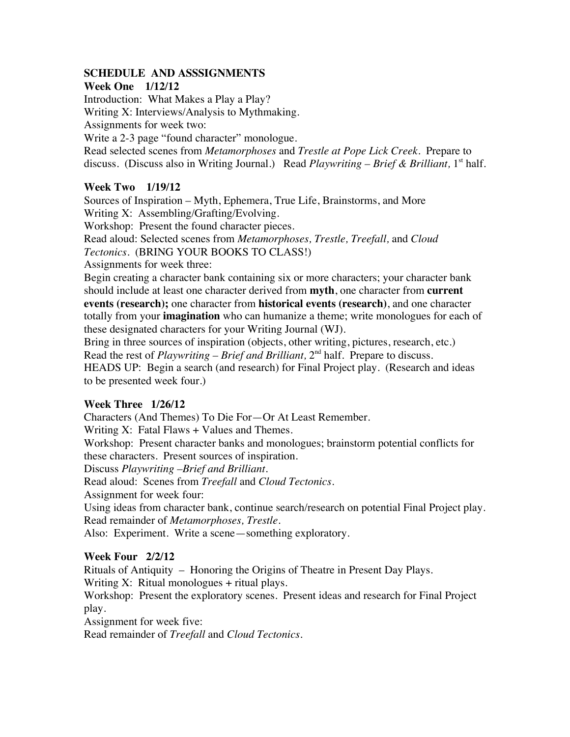## **SCHEDULE AND ASSSIGNMENTS**

## **Week One 1/12/12**

Introduction: What Makes a Play a Play? Writing X: Interviews/Analysis to Mythmaking. Assignments for week two:

Write a 2-3 page "found character" monologue. Read selected scenes from *Metamorphoses* and *Trestle at Pope Lick Creek.* Prepare to discuss. (Discuss also in Writing Journal.) Read *Playwriting - Brief & Brilliant*, 1<sup>st</sup> half.

# **Week Two 1/19/12**

Sources of Inspiration – Myth, Ephemera, True Life, Brainstorms, and More Writing X: Assembling/Grafting/Evolving.

Workshop: Present the found character pieces.

Read aloud: Selected scenes from *Metamorphoses, Trestle, Treefall,* and *Cloud* 

*Tectonics*. (BRING YOUR BOOKS TO CLASS!)

Assignments for week three:

Begin creating a character bank containing six or more characters; your character bank should include at least one character derived from **myth**, one character from **current events (research);** one character from **historical events (research)**, and one character totally from your **imagination** who can humanize a theme; write monologues for each of these designated characters for your Writing Journal (WJ).

Bring in three sources of inspiration (objects, other writing, pictures, research, etc.) Read the rest of *Playwriting – Brief and Brilliant,* 2nd half*.* Prepare to discuss. HEADS UP: Begin a search (and research) for Final Project play. (Research and ideas to be presented week four.)

# **Week Three 1/26/12**

Characters (And Themes) To Die For—Or At Least Remember.

Writing  $X$ : Fatal Flaws + Values and Themes.

Workshop: Present character banks and monologues; brainstorm potential conflicts for these characters. Present sources of inspiration.

Discuss *Playwriting –Brief and Brilliant*.

Read aloud: Scenes from *Treefall* and *Cloud Tectonics.*

Assignment for week four:

Using ideas from character bank, continue search/research on potential Final Project play. Read remainder of *Metamorphoses, Trestle.*

Also: Experiment. Write a scene—something exploratory.

# **Week Four 2/2/12**

Rituals of Antiquity – Honoring the Origins of Theatre in Present Day Plays.

Writing  $X$ : Ritual monologues + ritual plays.

Workshop: Present the exploratory scenes. Present ideas and research for Final Project play.

Assignment for week five:

Read remainder of *Treefall* and *Cloud Tectonics*.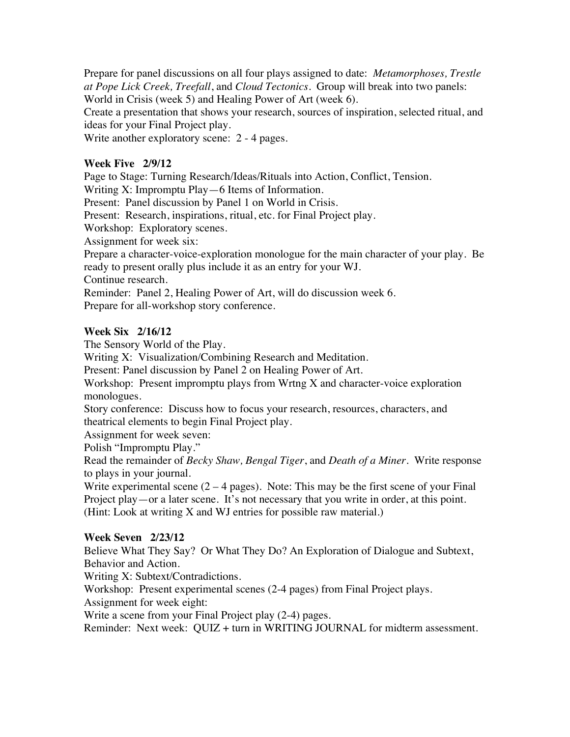Prepare for panel discussions on all four plays assigned to date: *Metamorphoses, Trestle at Pope Lick Creek, Treefall*, and *Cloud Tectonics.* Group will break into two panels: World in Crisis (week 5) and Healing Power of Art (week 6).

Create a presentation that shows your research, sources of inspiration, selected ritual, and ideas for your Final Project play.

Write another exploratory scene: 2 - 4 pages.

## **Week Five 2/9/12**

Page to Stage: Turning Research/Ideas/Rituals into Action, Conflict, Tension.

Writing X: Impromptu Play—6 Items of Information.

Present: Panel discussion by Panel 1 on World in Crisis.

Present: Research, inspirations, ritual, etc. for Final Project play.

Workshop: Exploratory scenes.

Assignment for week six:

Prepare a character-voice-exploration monologue for the main character of your play. Be ready to present orally plus include it as an entry for your WJ.

Continue research.

Reminder: Panel 2, Healing Power of Art, will do discussion week 6. Prepare for all-workshop story conference.

## **Week Six 2/16/12**

The Sensory World of the Play.

Writing X: Visualization/Combining Research and Meditation.

Present: Panel discussion by Panel 2 on Healing Power of Art.

Workshop: Present impromptu plays from Wrtng X and character-voice exploration monologues.

Story conference: Discuss how to focus your research, resources, characters, and theatrical elements to begin Final Project play.

Assignment for week seven:

Polish "Impromptu Play."

Read the remainder of *Becky Shaw, Bengal Tiger*, and *Death of a Miner.* Write response to plays in your journal.

Write experimental scene  $(2 - 4$  pages). Note: This may be the first scene of your Final Project play—or a later scene. It's not necessary that you write in order, at this point. (Hint: Look at writing X and WJ entries for possible raw material.)

## **Week Seven 2/23/12**

Believe What They Say? Or What They Do? An Exploration of Dialogue and Subtext, Behavior and Action.

Writing X: Subtext/Contradictions.

Workshop: Present experimental scenes (2-4 pages) from Final Project plays.

Assignment for week eight:

Write a scene from your Final Project play (2-4) pages.

Reminder: Next week: QUIZ + turn in WRITING JOURNAL for midterm assessment.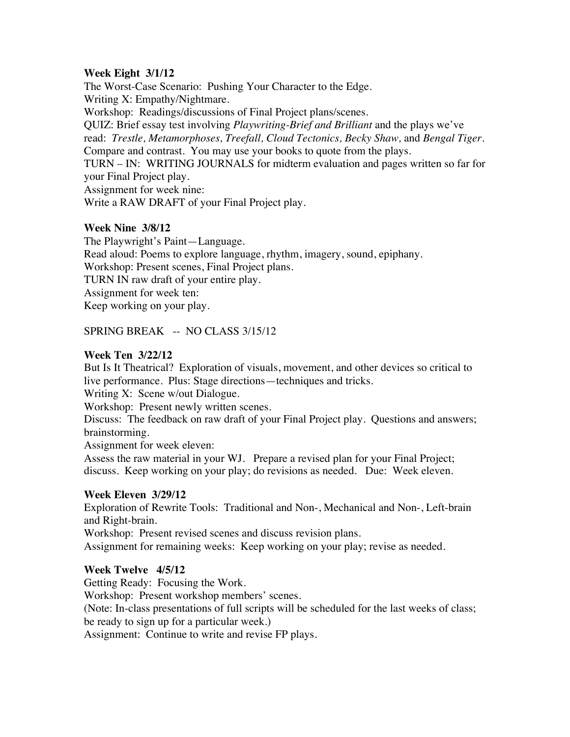## **Week Eight 3/1/12**

The Worst-Case Scenario: Pushing Your Character to the Edge. Writing X: Empathy/Nightmare. Workshop: Readings/discussions of Final Project plans/scenes. QUIZ: Brief essay test involving *Playwriting-Brief and Brilliant* and the plays we've read: *Trestle, Metamorphoses, Treefall, Cloud Tectonics, Becky Shaw,* and *Bengal Tiger.*  Compare and contrast. You may use your books to quote from the plays. TURN – IN: WRITING JOURNALS for midterm evaluation and pages written so far for your Final Project play. Assignment for week nine: Write a RAW DRAFT of your Final Project play.

## **Week Nine 3/8/12**

The Playwright's Paint—Language. Read aloud: Poems to explore language, rhythm, imagery, sound, epiphany. Workshop: Present scenes, Final Project plans. TURN IN raw draft of your entire play. Assignment for week ten: Keep working on your play.

## SPRING BREAK -- NO CLASS 3/15/12

## **Week Ten 3/22/12**

But Is It Theatrical? Exploration of visuals, movement, and other devices so critical to live performance. Plus: Stage directions—techniques and tricks.

Writing X: Scene w/out Dialogue.

Workshop: Present newly written scenes.

Discuss: The feedback on raw draft of your Final Project play. Questions and answers; brainstorming.

Assignment for week eleven:

Assess the raw material in your WJ. Prepare a revised plan for your Final Project; discuss. Keep working on your play; do revisions as needed. Due: Week eleven.

## **Week Eleven 3/29/12**

Exploration of Rewrite Tools: Traditional and Non-, Mechanical and Non-, Left-brain and Right-brain.

Workshop: Present revised scenes and discuss revision plans.

Assignment for remaining weeks: Keep working on your play; revise as needed.

## **Week Twelve 4/5/12**

Getting Ready: Focusing the Work.

Workshop: Present workshop members' scenes.

(Note: In-class presentations of full scripts will be scheduled for the last weeks of class; be ready to sign up for a particular week.)

Assignment: Continue to write and revise FP plays.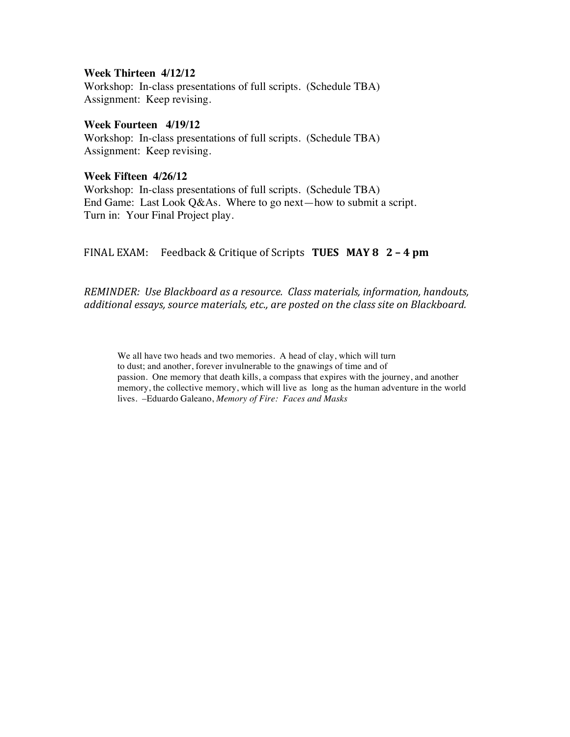### **Week Thirteen 4/12/12**

Workshop: In-class presentations of full scripts. (Schedule TBA) Assignment: Keep revising.

### **Week Fourteen 4/19/12**

Workshop: In-class presentations of full scripts. (Schedule TBA) Assignment: Keep revising.

### **Week Fifteen 4/26/12**

Workshop: In-class presentations of full scripts. (Schedule TBA) End Game: Last Look Q&As. Where to go next—how to submit a script. Turn in: Your Final Project play.

# FINAL EXAM: Feedback & Critique of Scripts **TUES MAY 8 2 - 4 pm**

*REMINDER: Use Blackboard as a resource. Class materials, information, handouts,* additional essays, source materials, etc., are posted on the class site on Blackboard.

We all have two heads and two memories. A head of clay, which will turn to dust; and another, forever invulnerable to the gnawings of time and of passion. One memory that death kills, a compass that expires with the journey, and another memory, the collective memory, which will live as long as the human adventure in the world lives. –Eduardo Galeano, *Memory of Fire: Faces and Masks*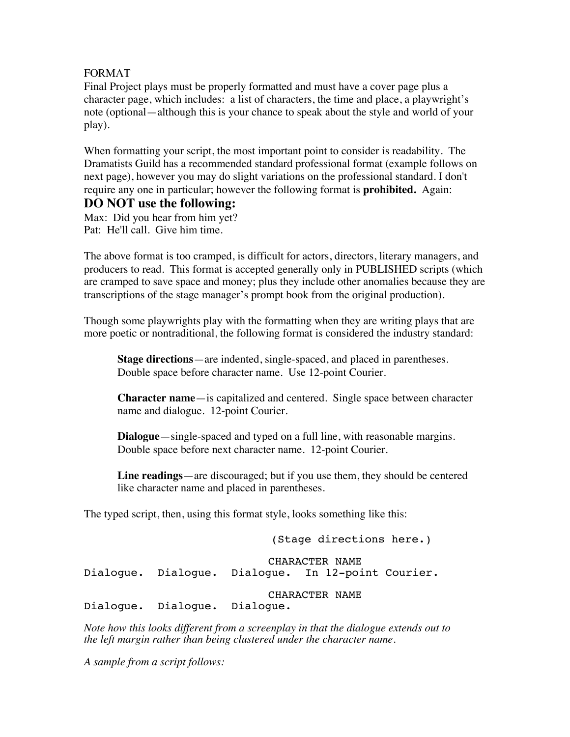## FORMAT

Final Project plays must be properly formatted and must have a cover page plus a character page, which includes: a list of characters, the time and place, a playwright's note (optional—although this is your chance to speak about the style and world of your play).

When formatting your script, the most important point to consider is readability. The Dramatists Guild has a recommended standard professional format (example follows on next page), however you may do slight variations on the professional standard. I don't require any one in particular; however the following format is **prohibited.** Again:

# **DO NOT use the following:**

Max: Did you hear from him yet? Pat: He'll call. Give him time.

The above format is too cramped, is difficult for actors, directors, literary managers, and producers to read. This format is accepted generally only in PUBLISHED scripts (which are cramped to save space and money; plus they include other anomalies because they are transcriptions of the stage manager's prompt book from the original production).

Though some playwrights play with the formatting when they are writing plays that are more poetic or nontraditional, the following format is considered the industry standard:

 **Stage directions**—are indented, single-spaced, and placed in parentheses. Double space before character name. Use 12-point Courier.

 **Character name**—is capitalized and centered. Single space between character name and dialogue. 12-point Courier.

 **Dialogue**—single-spaced and typed on a full line, with reasonable margins. Double space before next character name. 12-point Courier.

 **Line readings**—are discouraged; but if you use them, they should be centered like character name and placed in parentheses.

The typed script, then, using this format style, looks something like this:

(Stage directions here.) CHARACTER NAME<br>Dialoque. In 12-poi Dialogue. Dialogue. Dialogue. In 12-point Courier. CHARACTER NAME<br>Dialoque. Dialogue. Dialogue.

*Note how this looks different from a screenplay in that the dialogue extends out to the left margin rather than being clustered under the character name.*

*A sample from a script follows:*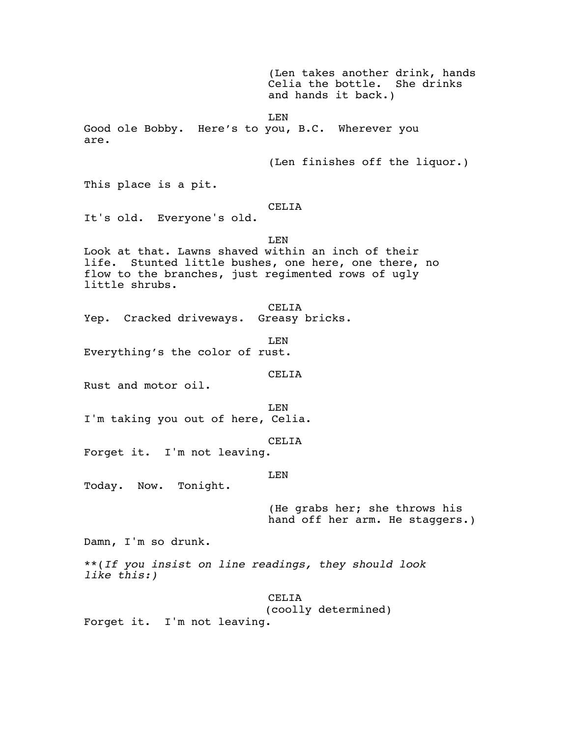(Len takes another drink, hands Celia the bottle. She drinks and hands it back.) LEN Good ole Bobby. Here's to you, B.C. Wherever you are. (Len finishes off the liquor.) This place is a pit. CELIA It's old. Everyone's old. LEN Look at that. Lawns shaved within an inch of their life. Stunted little bushes, one here, one there, no flow to the branches, just regimented rows of ugly little shrubs. CELIA Yep. Cracked driveways. Greasy bricks. LEN Everything's the color of rust. CELIA Rust and motor oil. LEN I'm taking you out of here, Celia. CELIA Forget it. I'm not leaving. LEN Today. Now. Tonight. (He grabs her; she throws his hand off her arm. He staggers.) Damn, I'm so drunk. \*\*(*If you insist on line readings, they should look like this:)* CELIA (coolly determined) Forget it. I'm not leaving.